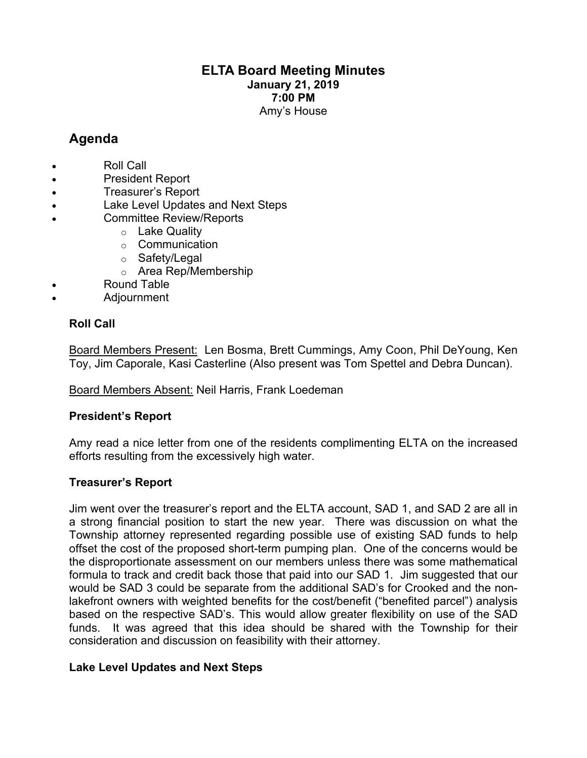## **ELTA Board Meeting Minutes January 21, 2019 7:00 PM** Amy's House

# **Agenda**

- Roll Call
- President Report
- Treasurer's Report
- Lake Level Updates and Next Steps
- Committee Review/Reports
	- o Lake Quality
	- o Communication
	- o Safety/Legal
	- o Area Rep/Membership
- Round Table
- Adjournment

## **Roll Call**

Board Members Present: Len Bosma, Brett Cummings, Amy Coon, Phil DeYoung, Ken Toy, Jim Caporale, Kasi Casterline (Also present was Tom Spettel and Debra Duncan).

Board Members Absent: Neil Harris, Frank Loedeman

## **President's Report**

Amy read a nice letter from one of the residents complimenting ELTA on the increased efforts resulting from the excessively high water.

## **Treasurer's Report**

Jim went over the treasurer's report and the ELTA account, SAD 1, and SAD 2 are all in a strong financial position to start the new year. There was discussion on what the Township attorney represented regarding possible use of existing SAD funds to help offset the cost of the proposed short-term pumping plan. One of the concerns would be the disproportionate assessment on our members unless there was some mathematical formula to track and credit back those that paid into our SAD 1. Jim suggested that our would be SAD 3 could be separate from the additional SAD's for Crooked and the nonlakefront owners with weighted benefits for the cost/benefit ("benefited parcel") analysis based on the respective SAD's. This would allow greater flexibility on use of the SAD funds. It was agreed that this idea should be shared with the Township for their consideration and discussion on feasibility with their attorney.

## **Lake Level Updates and Next Steps**